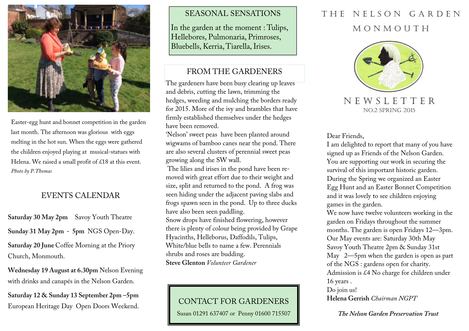

Easter-egg hunt and bonnet competition in the garden last month. The afternoon was glorious with eggs melting in the hot sun. When the eggs were gatheredthe children enjoyed playing at musical-statues with Helena. We raised a small profit of £18 at this event. *Photo by P.Thomas*

## EVENTS CALENDAR

**Saturday 30 May 2pm** Savoy Youth Theatre **Sunday 31 May 2pm - 5pm** NGS Open-Day. **Saturday 20 June** Coffee Morning at the Priory Church, Monmouth.

**Wednesday 19 August at 6.30pm** Nelson Evening with drinks and canapés in the Nelson Garden.

**Saturday 12 & Sunday 13 September 2pm –5pm**  European Heritage Day Open Doors Weekend.

#### SEASONAL SENSATIONS

In the garden at the moment : Tulips, Hellebores, Pulmonaria, Primroses, Bluebells, Kerria, Tiarella, Irises.

## FROM THE GARDENERS

The gardeners have been busy clearing up leaves and debris, cutting the lawn, trimming the hedges, weeding and mulching the borders ready for 2015. More of the ivy and brambles that have firmly established themselves under the hedges have been removed.

'Nelson' sweet peas have been planted around wigwams of bamboo canes near the pond. There are also several clusters of perennial sweet peas growing along the SW wall.

 The lilies and irises in the pond have been removed with great effort due to their weight and size, split and returned to the pond. A frog was seen hiding under the adjacent paving slabs and frogs spawn seen in the pond. Up to three ducks have also been seen paddling. Snow drops have finished flowering, however there is plenty of colour being provided by Grape Hyacinths, Helleborus, Daffodils, Tulips, White/blue bells to name a few. Perennials shrubs and roses are budding. **Steve Glenton** *Volunteer Gardener* 

### CONTACT FOR GARDENERS

Susan 01291 637407 or Penny 01600 715507

# THE NELSON GARDEN M O N M O U T H



N E W S L E T T E R NO.2 SPRING 2015

Dear Friends,

I am delighted to report that many of you have signed up as Friends of the Nelson Garden. You are supporting our work in securing the survival of this important historic garden. During the Spring we organized an Easter Egg Hunt and an Easter Bonnet Competition and it was lovely to see children enjoying games in the garden.

We now have twelve volunteers working in the garden on Fridays throughout the summer months. The garden is open Fridays 12—3pm. Our May events are: Saturday 30th May Savoy Youth Theatre 2pm & Sunday 31st May 2—5pm when the garden is open as part of the NGS : gardens open for charity. Admission is £4 No charge for children under 16 years . Do join us!

**Helena Gerrish** *Chairman NGPT*

*The Nelson Garden Preservation Trust*